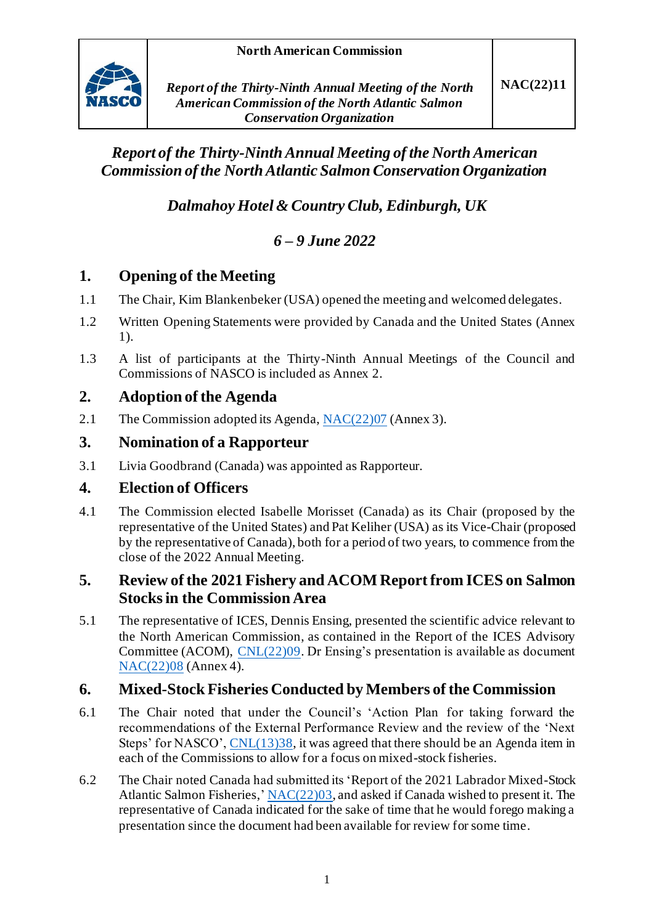

# *Report of the Thirty-NinthAnnual Meeting of the North American Commission of the North Atlantic Salmon Conservation Organization*

*Dalmahoy Hotel & Country Club, Edinburgh, UK*

# *6 – 9 June 2022*

# **1. Opening of the Meeting**

- 1.1 The Chair, Kim Blankenbeker (USA) opened the meeting and welcomed delegates.
- 1.2 Written Opening Statements were provided by Canada and the United States (Annex 1).
- 1.3 A list of participants at the Thirty-Ninth Annual Meetings of the Council and Commissions of NASCO is included as Annex 2.

# **2. Adoption of the Agenda**

2.1 The Commission adopted its Agenda[, NAC\(22\)07](https://nasco.int/wp-content/uploads/2022/06/NAC2207_Agenda-1.pdf) (Annex 3).

## **3. Nomination of a Rapporteur**

3.1 Livia Goodbrand (Canada) was appointed as Rapporteur.

## **4. Election of Officers**

4.1 The Commission elected Isabelle Morisset (Canada) as its Chair (proposed by the representative of the United States) and Pat Keliher (USA) as its Vice-Chair (proposed by the representative of Canada), both for a period of two years, to commence from the close of the 2022 Annual Meeting.

### **5. Review of the 2021 Fishery and ACOM Report from ICES on Salmon Stocks in the Commission Area**

5.1 The representative of ICES, Dennis Ensing, presented the scientific advice relevant to the North American Commission, as contained in the Report of the ICES Advisory Committee (ACOM), [CNL\(22\)09.](https://nasco.int/wp-content/uploads/2022/05/CNL2209_ICES-Advice.pdf) Dr Ensing's presentation is available as document [NAC\(22\)08](https://nasco.int/wp-content/uploads/2022/06/NAC2208_Presentation-of-the-ICES-Advice-on-Atlantic-Salmon-from-North-America-to-the-North-American-Commission.pdf) (Annex 4).

## **6. Mixed-Stock Fisheries Conducted by Members of the Commission**

- 6.1 The Chair noted that under the Council's 'Action Plan for taking forward the recommendations of the External Performance Review and the review of the 'Next Steps' for NASCO', [CNL\(13\)38,](https://nasco.int/wp-content/uploads/2020/02/CNL_13_38.pdf) it was agreed that there should be an Agenda item in each of the Commissions to allow for a focus on mixed-stock fisheries.
- 6.2 The Chair noted Canada had submitted its 'Report of the 2021 Labrador Mixed-Stock Atlantic Salmon Fisheries,' [NAC\(22\)03](https://nasco.int/wp-content/uploads/2022/05/NAC2203_Labrador-Subsistence-Food-Fisheries-%E2%80%93-Mixed-Stock-Fisheries-Context.pdf), and asked if Canada wished to present it. The representative of Canada indicated for the sake of time that he would forego making a presentation since the document had been available for review for some time.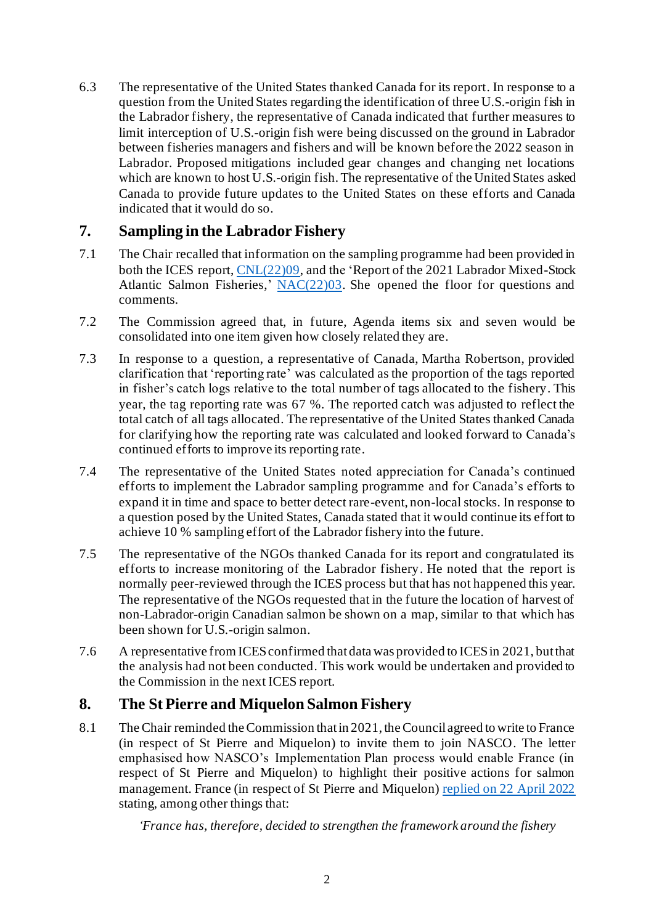6.3 The representative of the United States thanked Canada for its report. In response to a question from the United States regarding the identification of three U.S.-origin fish in the Labrador fishery, the representative of Canada indicated that further measures to limit interception of U.S.-origin fish were being discussed on the ground in Labrador between fisheries managers and fishers and will be known before the 2022 season in Labrador. Proposed mitigations included gear changes and changing net locations which are known to host U.S.-origin fish. The representative of the United States asked Canada to provide future updates to the United States on these efforts and Canada indicated that it would do so.

### **7. Sampling in the Labrador Fishery**

- 7.1 The Chair recalled that information on the sampling programme had been provided in both the ICES report[, CNL\(22\)09](https://nasco.int/wp-content/uploads/2022/05/CNL2209_ICES-Advice.pdf), and the 'Report of the 2021 Labrador Mixed-Stock Atlantic Salmon Fisheries,' [NAC\(22\)03.](https://nasco.int/wp-content/uploads/2022/05/NAC2203_Labrador-Subsistence-Food-Fisheries-%E2%80%93-Mixed-Stock-Fisheries-Context.pdf) She opened the floor for questions and comments.
- 7.2 The Commission agreed that, in future, Agenda items six and seven would be consolidated into one item given how closely related they are.
- 7.3 In response to a question, a representative of Canada, Martha Robertson, provided clarification that 'reporting rate' was calculated as the proportion of the tags reported in fisher's catch logs relative to the total number of tags allocated to the fishery. This year, the tag reporting rate was 67 %. The reported catch was adjusted to reflect the total catch of all tags allocated. The representative of the United States thanked Canada for clarifying how the reporting rate was calculated and looked forward to Canada's continued efforts to improve its reporting rate.
- 7.4 The representative of the United States noted appreciation for Canada's continued efforts to implement the Labrador sampling programme and for Canada's efforts to expand it in time and space to better detect rare-event, non-local stocks. In response to a question posed by the United States, Canada stated that it would continue its effort to achieve 10 % sampling effort of the Labrador fishery into the future.
- 7.5 The representative of the NGOs thanked Canada for its report and congratulated its efforts to increase monitoring of the Labrador fishery. He noted that the report is normally peer-reviewed through the ICES process but that has not happened this year. The representative of the NGOs requested that in the future the location of harvest of non-Labrador-origin Canadian salmon be shown on a map, similar to that which has been shown for U.S.-origin salmon.
- 7.6 A representative from ICES confirmed that data was provided to ICES in 2021, but that the analysis had not been conducted. This work would be undertaken and provided to the Commission in the next ICES report.

#### **8. The St Pierre and Miquelon Salmon Fishery**

8.1 The Chair reminded the Commission that in 2021, the Council agreed to write to France (in respect of St Pierre and Miquelon) to invite them to join NASCO. The letter emphasised how NASCO's Implementation Plan process would enable France (in respect of St Pierre and Miquelon) to highlight their positive actions for salmon management. France (in respect of St Pierre and Miquelon) [replied on 22 April 2022](https://nasco.int/wp-content/uploads/2022/05/Response-from-the-French-Minister-of-the-Sea-to-the-President-of-NASCO-1.pdf) stating, among other things that:

*'France has, therefore, decided to strengthen the framework around the fishery*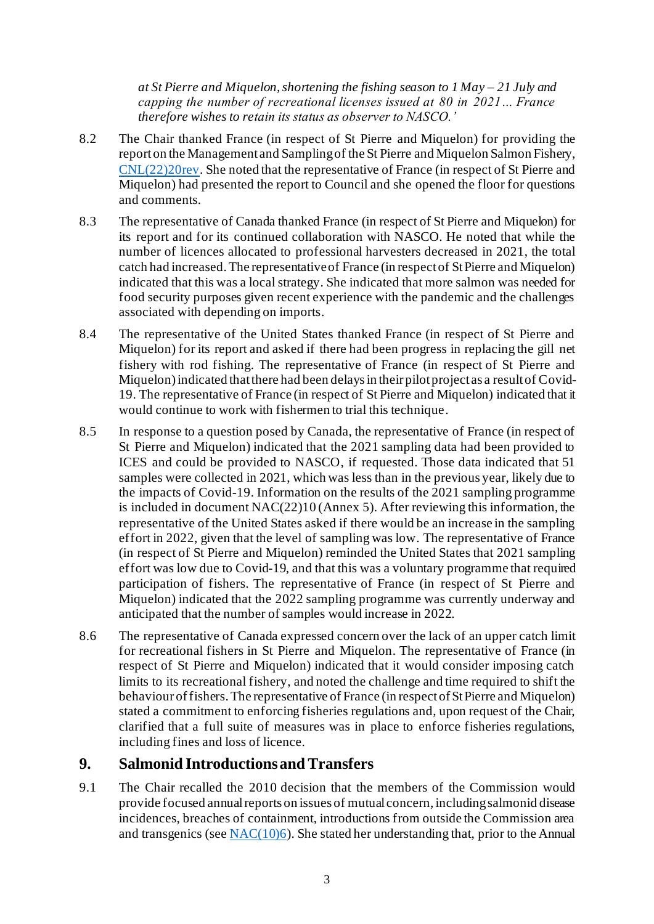*at St Pierre and Miquelon, shortening the fishing season to 1 May – 21 July and capping the number of recreational licenses issued at 80 in 2021… France therefore wishes to retain its status as observer to NASCO.'*

- 8.2 The Chair thanked France (in respect of St Pierre and Miquelon) for providing the report on the Management and Sampling of the St Pierre and Miquelon Salmon Fishery, [CNL\(22\)20rev.](https://nasco.int/wp-content/uploads/2022/05/CNL2220rev_Report-on-the-2021-Salmon-Fishery-at-St-Pierre-and-Miquelon.pdf) She noted that the representative of France (in respect of St Pierre and Miquelon) had presented the report to Council and she opened the floor for questions and comments.
- 8.3 The representative of Canada thanked France (in respect of St Pierre and Miquelon) for its report and for its continued collaboration with NASCO. He noted that while the number of licences allocated to professional harvesters decreased in 2021, the total catch had increased. The representative of France (in respect of St Pierre and Miquelon) indicated that this was a local strategy. She indicated that more salmon was needed for food security purposes given recent experience with the pandemic and the challenges associated with depending on imports.
- 8.4 The representative of the United States thanked France (in respect of St Pierre and Miquelon) for its report and asked if there had been progress in replacing the gill net fishery with rod fishing. The representative of France (in respect of St Pierre and Miquelon) indicated that there had been delays in their pilot project as a result of Covid-19. The representative of France (in respect of St Pierre and Miquelon) indicated that it would continue to work with fishermen to trial this technique.
- 8.5 In response to a question posed by Canada, the representative of France (in respect of St Pierre and Miquelon) indicated that the 2021 sampling data had been provided to ICES and could be provided to NASCO, if requested. Those data indicated that 51 samples were collected in 2021, which was less than in the previous year, likely due to the impacts of Covid-19. Information on the results of the 2021 sampling programme is included in document NAC(22)10 (Annex 5). After reviewing this information, the representative of the United States asked if there would be an increase in the sampling effort in 2022, given that the level of sampling was low. The representative of France (in respect of St Pierre and Miquelon) reminded the United States that 2021 sampling effort was low due to Covid-19, and that this was a voluntary programme that required participation of fishers. The representative of France (in respect of St Pierre and Miquelon) indicated that the 2022 sampling programme was currently underway and anticipated that the number of samples would increase in 2022.
- 8.6 The representative of Canada expressed concern over the lack of an upper catch limit for recreational fishers in St Pierre and Miquelon. The representative of France (in respect of St Pierre and Miquelon) indicated that it would consider imposing catch limits to its recreational fishery, and noted the challenge and time required to shift the behaviour of fishers. The representative of France (in respect of St Pierre and Miquelon) stated a commitment to enforcing fisheries regulations and, upon request of the Chair, clarified that a full suite of measures was in place to enforce fisheries regulations, including fines and loss of licence.

#### **9. Salmonid Introductions and Transfers**

9.1 The Chair recalled the 2010 decision that the members of the Commission would provide focused annual reports on issues of mutual concern, including salmonid disease incidences, breaches of containment, introductions from outside the Commission area and transgenics (see  $NAC(10)6$ ). She stated her understanding that, prior to the Annual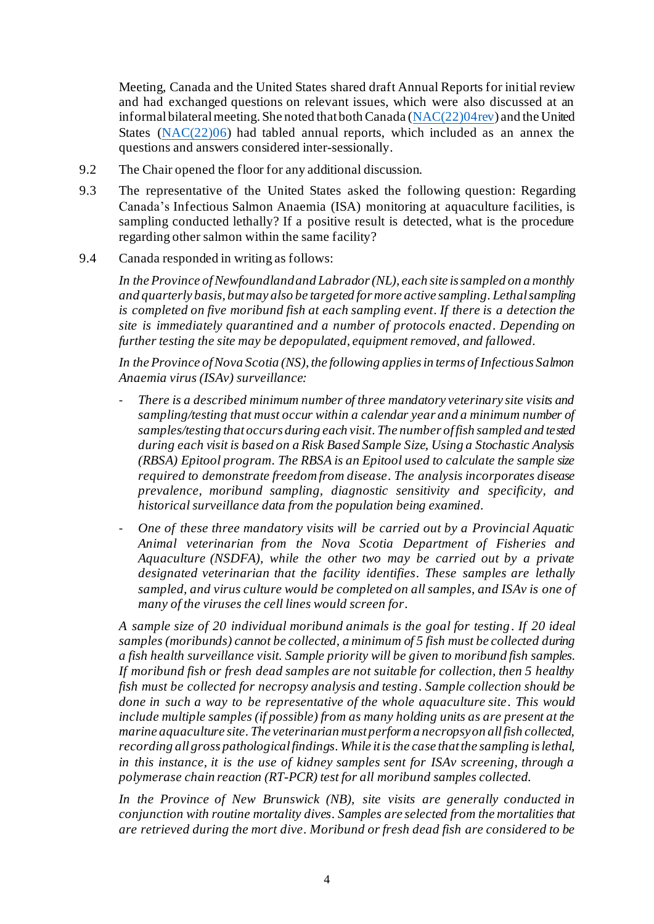Meeting, Canada and the United States shared draft Annual Reports for initial review and had exchanged questions on relevant issues, which were also discussed at an informal bilateral meeting. She noted that both Canada [\(NAC\(22\)04rev](https://nasco.int/wp-content/uploads/2022/05/NAC2204rev_Annual-Report-Tabled-by-Canada.pdf)) and the United States ( $NAC(22)06$ ) had tabled annual reports, which included as an annex the questions and answers considered inter-sessionally.

- 9.2 The Chair opened the floor for any additional discussion.
- 9.3 The representative of the United States asked the following question: Regarding Canada's Infectious Salmon Anaemia (ISA) monitoring at aquaculture facilities, is sampling conducted lethally? If a positive result is detected, what is the procedure regarding other salmon within the same facility?
- 9.4 Canada responded in writing as follows:

*In the Province of Newfoundland and Labrador (NL), each site is sampled on a monthly and quarterly basis, but may also be targeted for more active sampling. Lethal sampling is completed on five moribund fish at each sampling event. If there is a detection the site is immediately quarantined and a number of protocols enacted. Depending on further testing the site may be depopulated, equipment removed, and fallowed.* 

*In the Province of Nova Scotia (NS), the following applies in terms of Infectious Salmon Anaemia virus (ISAv) surveillance:*

- There is a described minimum number of three mandatory veterinary site visits and *sampling/testing that must occur within a calendar year and a minimum number of samples/testing that occurs during each visit. The number of fish sampled and tested during each visit is based on a Risk Based Sample Size, Using a Stochastic Analysis (RBSA) Epitool program. The RBSA is an Epitool used to calculate the sample size required to demonstrate freedom from disease. The analysis incorporates disease prevalence, moribund sampling, diagnostic sensitivity and specificity, and historical surveillance data from the population being examined.*
- *One of these three mandatory visits will be carried out by a Provincial Aquatic Animal veterinarian from the Nova Scotia Department of Fisheries and Aquaculture (NSDFA), while the other two may be carried out by a private designated veterinarian that the facility identifies. These samples are lethally sampled, and virus culture would be completed on all samples, and ISAv is one of many of the viruses the cell lines would screen for.*

*A sample size of 20 individual moribund animals is the goal for testing. If 20 ideal samples (moribunds) cannot be collected, a minimum of 5 fish must be collected during a fish health surveillance visit. Sample priority will be given to moribund fish samples. If moribund fish or fresh dead samples are not suitable for collection, then 5 healthy fish must be collected for necropsy analysis and testing. Sample collection should be done in such a way to be representative of the whole aquaculture site. This would include multiple samples (if possible) from as many holding units as are present at the marine aquaculture site. The veterinarian must perform a necropsy on all fish collected, recording all gross pathological findings. While it is the case that the sampling is lethal, in this instance, it is the use of kidney samples sent for ISAv screening, through a polymerase chain reaction (RT-PCR) test for all moribund samples collected.* 

*In the Province of New Brunswick (NB), site visits are generally conducted in conjunction with routine mortality dives. Samples are selected from the mortalities that are retrieved during the mort dive. Moribund or fresh dead fish are considered to be*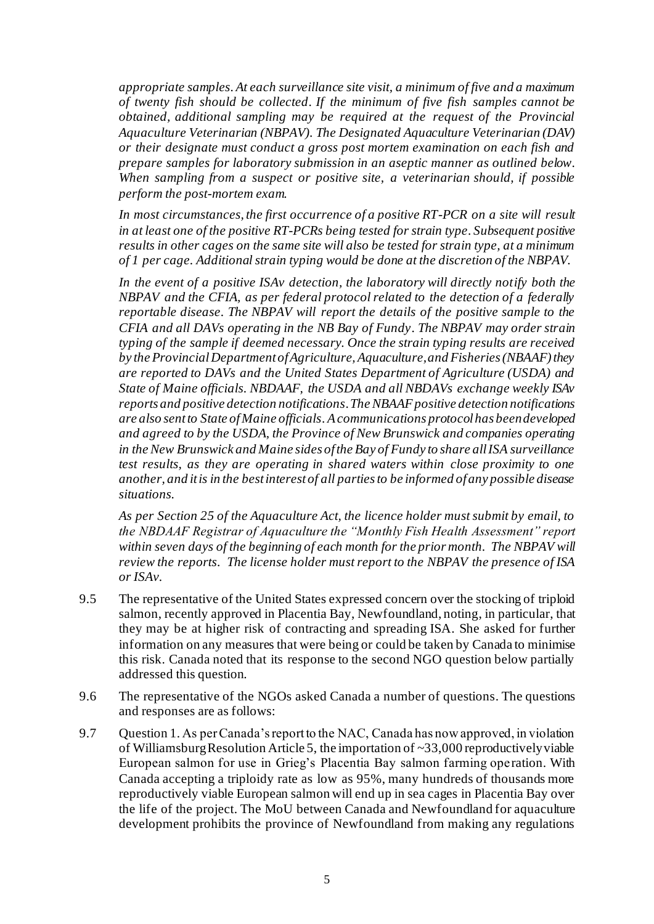*appropriate samples. At each surveillance site visit, a minimum of five and a maximum of twenty fish should be collected. If the minimum of five fish samples cannot be obtained, additional sampling may be required at the request of the Provincial Aquaculture Veterinarian (NBPAV). The Designated Aquaculture Veterinarian (DAV) or their designate must conduct a gross post mortem examination on each fish and prepare samples for laboratory submission in an aseptic manner as outlined below. When sampling from a suspect or positive site, a veterinarian should, if possible perform the post-mortem exam.*

In most circumstances, the first occurrence of a positive RT-PCR on a site will result *in at least one of the positive RT-PCRs being tested for strain type. Subsequent positive results in other cages on the same site will also be tested for strain type, at a minimum of 1 per cage. Additional strain typing would be done at the discretion of the NBPAV.*

*In the event of a positive ISAv detection, the laboratory will directly notify both the NBPAV and the CFIA, as per federal protocol related to the detection of a federally reportable disease. The NBPAV will report the details of the positive sample to the CFIA and all DAVs operating in the NB Bay of Fundy. The NBPAV may order strain typing of the sample if deemed necessary. Once the strain typing results are received by the Provincial Department of Agriculture, Aquaculture, and Fisheries (NBAAF) they are reported to DAVs and the United States Department of Agriculture (USDA) and State of Maine officials. NBDAAF, the USDA and all NBDAVs exchange weekly ISAv reports and positive detection notifications. The NBAAF positive detection notifications are also sent to State of Maine officials. A communications protocol has been developed and agreed to by the USDA, the Province of New Brunswick and companies operating in the New Brunswick and Maine sides of the Bay of Fundy to share all ISA surveillance test results, as they are operating in shared waters within close proximity to one another, and it is in the best interest of all parties to be informed of any possible disease situations.*

*As per Section 25 of the Aquaculture Act, the licence holder must submit by email, to the NBDAAF Registrar of Aquaculture the "Monthly Fish Health Assessment" report within seven days of the beginning of each month for the prior month. The NBPAV will review the reports. The license holder must report to the NBPAV the presence of ISA or ISAv.*

- 9.5 The representative of the United States expressed concern over the stocking of triploid salmon, recently approved in Placentia Bay, Newfoundland, noting, in particular, that they may be at higher risk of contracting and spreading ISA. She asked for further information on any measures that were being or could be taken by Canada to minimise this risk. Canada noted that its response to the second NGO question below partially addressed this question.
- 9.6 The representative of the NGOs asked Canada a number of questions. The questions and responses are as follows:
- 9.7 Question 1. As per Canada's report to the NAC, Canada has now approved, in violation of Williamsburg Resolution Article 5, the importation of  $\sim$ 33,000 reproductively viable European salmon for use in Grieg's Placentia Bay salmon farming operation. With Canada accepting a triploidy rate as low as 95%, many hundreds of thousands more reproductively viable European salmon will end up in sea cages in Placentia Bay over the life of the project. The MoU between Canada and Newfoundland for aquaculture development prohibits the province of Newfoundland from making any regulations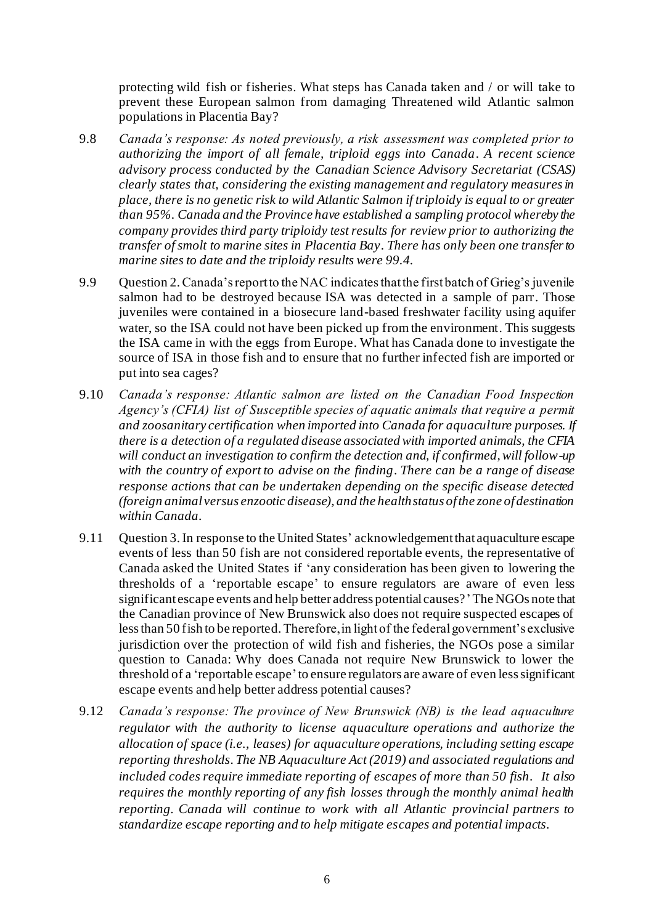protecting wild fish or fisheries. What steps has Canada taken and / or will take to prevent these European salmon from damaging Threatened wild Atlantic salmon populations in Placentia Bay?

- 9.8 *Canada's response: As noted previously, a risk assessment was completed prior to authorizing the import of all female, triploid eggs into Canada. A recent science advisory process conducted by the Canadian Science Advisory Secretariat (CSAS) clearly states that, considering the existing management and regulatory measures in place, there is no genetic risk to wild Atlantic Salmon if triploidy is equal to or greater than 95%. Canada and the Province have established a sampling protocol whereby the company provides third party triploidy test results for review prior to authorizing the transfer of smolt to marine sites in Placentia Bay. There has only been one transfer to marine sites to date and the triploidy results were 99.4.*
- 9.9 Question 2. Canada's report to the NAC indicates that the first batch of Grieg's juvenile salmon had to be destroyed because ISA was detected in a sample of parr. Those juveniles were contained in a biosecure land-based freshwater facility using aquifer water, so the ISA could not have been picked up from the environment. This suggests the ISA came in with the eggs from Europe. What has Canada done to investigate the source of ISA in those fish and to ensure that no further infected fish are imported or put into sea cages?
- 9.10 *Canada's response: Atlantic salmon are listed on the Canadian Food Inspection Agency's (CFIA) list of Susceptible species of aquatic animals that require a permit and zoosanitary certification when imported into Canada for aquaculture purposes. If there is a detection of a regulated disease associated with imported animals, the CFIA will conduct an investigation to confirm the detection and, if confirmed, will follow-up with the country of export to advise on the finding. There can be a range of disease response actions that can be undertaken depending on the specific disease detected (foreign animal versus enzootic disease), and the health status of the zone of destination within Canada.*
- 9.11 Question 3. In response to the United States' acknowledgement that aquaculture escape events of less than 50 fish are not considered reportable events, the representative of Canada asked the United States if 'any consideration has been given to lowering the thresholds of a 'reportable escape' to ensure regulators are aware of even less significant escape events and help better address potential causes?'The NGOs note that the Canadian province of New Brunswick also does not require suspected escapes of less than 50 fish to be reported. Therefore, in light of the federal government's exclusive jurisdiction over the protection of wild fish and fisheries, the NGOs pose a similar question to Canada: Why does Canada not require New Brunswick to lower the threshold of a 'reportable escape'to ensure regulators are aware of even less significant escape events and help better address potential causes?
- 9.12 *Canada's response: The province of New Brunswick (NB) is the lead aquaculture regulator with the authority to license aquaculture operations and authorize the allocation of space (i.e., leases) for aquaculture operations, including setting escape reporting thresholds. The NB Aquaculture Act (2019) and associated regulations and included codes require immediate reporting of escapes of more than 50 fish. It also requires the monthly reporting of any fish losses through the monthly animal health reporting. Canada will continue to work with all Atlantic provincial partners to standardize escape reporting and to help mitigate escapes and potential impacts.*